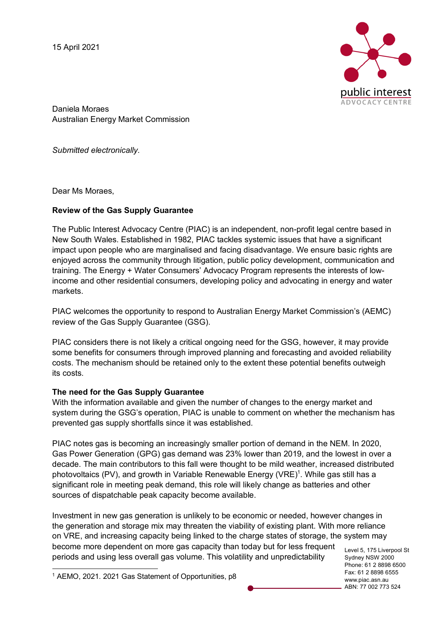15 April 2021



Daniela Moraes Australian Energy Market Commission

*Submitted electronically.* 

Dear Ms Moraes,

## **Review of the Gas Supply Guarantee**

The Public Interest Advocacy Centre (PIAC) is an independent, non-profit legal centre based in New South Wales. Established in 1982, PIAC tackles systemic issues that have a significant impact upon people who are marginalised and facing disadvantage. We ensure basic rights are enjoyed across the community through litigation, public policy development, communication and training. The Energy + Water Consumers' Advocacy Program represents the interests of lowincome and other residential consumers, developing policy and advocating in energy and water markets.

PIAC welcomes the opportunity to respond to Australian Energy Market Commission's (AEMC) review of the Gas Supply Guarantee (GSG).

PIAC considers there is not likely a critical ongoing need for the GSG, however, it may provide some benefits for consumers through improved planning and forecasting and avoided reliability costs. The mechanism should be retained only to the extent these potential benefits outweigh its costs.

## **The need for the Gas Supply Guarantee**

With the information available and given the number of changes to the energy market and system during the GSG's operation, PIAC is unable to comment on whether the mechanism has prevented gas supply shortfalls since it was established.

PIAC notes gas is becoming an increasingly smaller portion of demand in the NEM. In 2020, Gas Power Generation (GPG) gas demand was 23% lower than 2019, and the lowest in over a decade. The main contributors to this fall were thought to be mild weather, increased distributed photovoltaics (PV), and growth in Variable Renewable Energy (VRE)<sup>1</sup>. While gas still has a significant role in meeting peak demand, this role will likely change as batteries and other sources of dispatchable peak capacity become available.

Investment in new gas generation is unlikely to be economic or needed, however changes in the generation and storage mix may threaten the viability of existing plant. With more reliance on VRE, and increasing capacity being linked to the charge states of storage, the system may become more dependent on more gas capacity than today but for less frequent periods and using less overall gas volume. This volatility and unpredictability

Level 5, 175 Liverpool St Sydney NSW 2000 Phone: 61 2 8898 6500 Fax: 61 2 8898 6555 www.piac.asn.au ABN: 77 002 773 524

 <sup>1</sup> AEMO, 2021. 2021 Gas Statement of Opportunities, p8